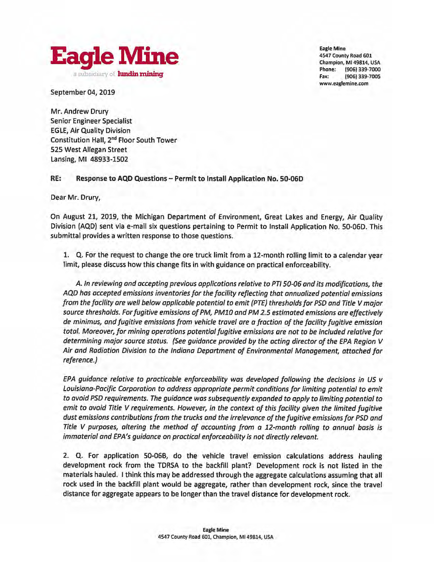<span id="page-0-0"></span>

**Eagle Mine**  4547 County Road 601 Champion, Ml 49814, USA Phone: (906) 339-7000 Fax: **(906) 339-7005 www.eaglemine.com** 

September 04, 2019

Mr. Andrew Drury Senior Engineer Specialist EGLE, Air Quality Division Constitution Hall, 2nd Floor South Tower 525 West Allegan Street Lansing, Ml 48933-1502

**RE: Response to AQD Questions** - **Permit to Install Application No. 50-060** 

Dear Mr. Drury,

On August 21, 2019, the Michigan Department of Environment, Great Lakes and Energy, Air Quality Division (AQD) sent via e-mail six questions pertaining to Permit to Install Application No. 50-060. This submittal provides a written response to those questions.

1. Q. For the request to change the ore truck limit from a 12-month rolling limit to a calendar year limit, please discuss how this change fits in with guidance on practical enforceability.

A. *In reviewing and accepting previous applications relative to PTI 50-06 and its modifications, the AQD has accepted emissions inventories for the facility reflecting that annualized potential emissions from the facility ore well below applicable potential to emit (PTE) thresholds for PSD and Title V major source thresholds. For fugitive emissions of PM, PM10 and PM 2.5 estimated emissions are effectively de minimus, and fugitive emissions from vehicle travel ore a fraction of the facility fugitive emission total. Moreover, for mining operations potential fugitive emissions are not to be included relative for determining major source status. (See guidance provided by the acting director* of *the EPA Region V Air and Radiation Division to the Indiana Department of Environmental Management, attached for reference.)* 

*EPA guidance relative to practicable enforceability was developed following the decisions in US v Louisiana-Pacific Corporation to address appropriate permit conditions for limiting potential to emit to avoid PSD requirements. The guidance was subsequently expanded to apply to limiting potential to emit to avoid Title V requirements. However, in the context of this facility given the limited fugitive dust emissions contributions from the trucks and the irrelevance of the fugitive emissions for PSD and Title V purposes, altering the method of accounting from a 12-month rolling to annual basis is immaterial and EPA's guidance on practical enforceability is not directly relevant.* 

2. Q. For application 50-068, do the vehicle travel emission calculations address hauling development rock from the TDRSA to the backfill plant? Development rock is not listed in the materials hauled. I think this may be addressed through the aggregate calculations assuming that all rock used in the backfill plant would be aggregate, rather than development rock, since the travel distance for aggregate appears to be longer than the travel distance for development rock.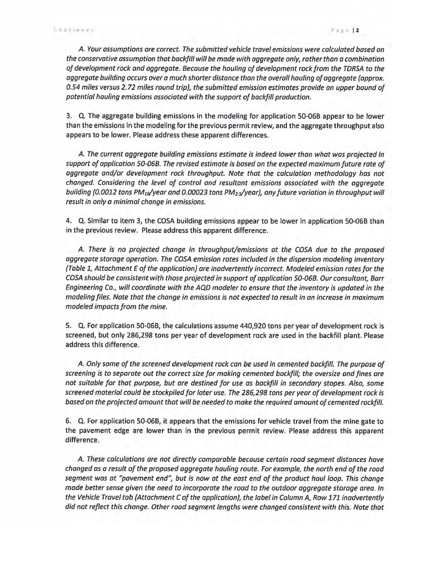*A. Your assumptions are correct. The submitted vehicle travel emissions were calculated based on the conservative assumption that backfill will be made with aggregate only, rather than a combination of development rock and aggregate. Because the hauling of development rock from the TDRSA* to *the aggregate building occurs over a much shorter distance than the overall hauling of aggregate (approx. 0.54 miles versus 2.72 miles round trip), the submitted emission estimates provide an upper bound of potential hauling emissions associated with the support* of *backfill production.* 

3. Q. The aggregate building emissions in the modeling for application 50-06B appear to be lower than the emissions in the modeling for the previous permit review, and the aggregate throughput also appears to be lower. Please address these apparent differences.

*A. The current aggregate building emissions estimate is indeed lower than what was projected in support of application 50-068. The revised estimate is based on the expected maximum future rote of aggregate and/or development rock throughput Note that the calculation methodology has not changed. Considering the level of control and resultant emissions associated with the aggregate building (0.0012 tons PM<sub>10</sub>/year and 0.00023 tons PM<sub>2.5</sub>/year), any future variation in throughput will result in only a minimal change in emissions.* 

4. Q. Similar to item 3, the COSA building emissions appear to be lower in application 50-06B than in the previous review. Please address this apparent difference.

*A. There is no projected change in throughput/emissions at the COSA due* to *the proposed aggregate storage operation. The COSA emission rates included in the dispersion modeling inventory (Table* 1, *Attachment E of the application) are inadvertently incorrect. Modeled emission rates for the COSA should be consistent with those projected in support of application 50-068. Our consultant, Barr Engineering Co., will coordinate with the AQD modeler to ensure that the inventory is updated in the modeling files. Note that the change in emissions is not expected to result in an increase in maximum modeled impacts from the mine.* 

5. Q. For application 50-06B, the calculations assume 440,920 tons per year of development rock is screened, but onty 286,298 tons per year of development rock are used in the backfill plant. Please address this difference.

*A. Only some of the screened development rock can be used in cemented backfill. The purpose of screening is to separate out the correct size for making cemented backfill; the oversize and fines are not suitable for that purpose, but are destined for use as backfill in secondary stopes. Also, some screened material could be stockpiled for later use. The 286,298 tons per year* of *development rock is based on the projected amount that will be needed* to *make the required amount of cemented rock/ill.* 

6. Q. For application 50-06B, it appears that the emissions for vehicle travel from the mine gate to the pavement edge are lower than in the previous permit review. Please address this apparent difference.

*A. These calculations are not directly comparable because certain road segment distances have*  changed as a result of the proposed aggregate hauling route. For example, the north end of the road *segment was at "pavement end': but is now at the east end of the product haul loop. This change made better sense given the need to incorporate the road ta the outdoor aggregate storage area. In the Vehicle Travel tab (Attachment C of the application), the label in Column A, Row* 171 *inadvertently did not reflect this change. Other road segment lengths were changed consistent with this. Note that*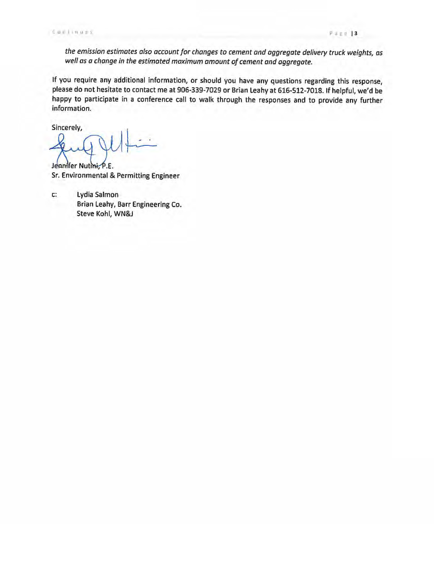*the emission estimates also account for changes to cement and aggregate delivery truck weights, as well as a change in the estimated maximum amount* of *cement and aggregate.* 

If you require any additional information, or should you have any questions regarding this response, please do not hesitate to contact me at 906-339-7029 or **Brian** Leahy at 616-512-7018. If helpful, we'd be happy to participate in a conference call to walk through the responses and to provide any further information.

Sincerely,

Jeanifer Nutini, P.E. Sr. Environmental & Permitting Engineer

c: Lydia Salmon Brian Leahy, Barr Engineering Co. Steve Kohl, WN&J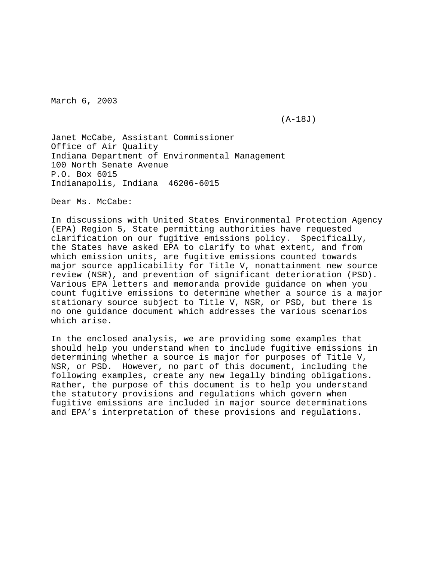March 6, 2003

(A-18J)

Janet McCabe, Assistant Commissioner Office of Air Quality Indiana Department of Environmental Management 100 North Senate Avenue P.O. Box 6015 Indianapolis, Indiana 46206-6015

Dear Ms. McCabe:

In discussions with United States Environmental Protection Agency (EPA) Region 5, State permitting authorities have requested clarification on our fugitive emissions policy. Specifically, the States have asked EPA to clarify to what extent, and from which emission units, are fugitive emissions counted towards major source applicability for Title V, nonattainment new source review (NSR), and prevention of significant deterioration (PSD). Various EPA letters and memoranda provide guidance on when you count fugitive emissions to determine whether a source is a major stationary source subject to Title V, NSR, or PSD, but there is no one guidance document which addresses the various scenarios which arise.

In the enclosed analysis, we are providing some examples that should help you understand when to include fugitive emissions in determining whether a source is major for purposes of Title V, NSR, or PSD. However, no part of this document, including the following examples, create any new legally binding obligations. Rather, the purpose of this document is to help you understand the statutory provisions and regulations which govern when fugitive emissions are included in major source determinations and EPA's interpretation of these provisions and regulations.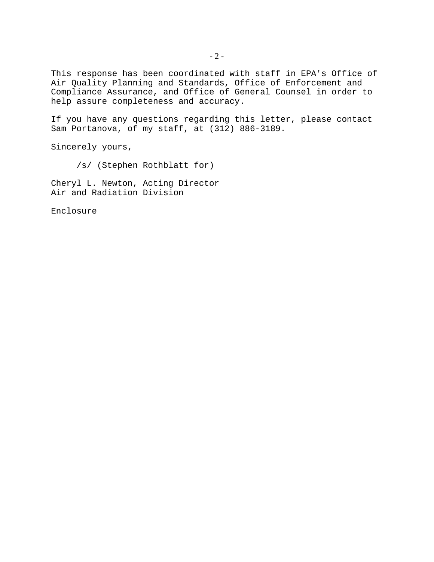This response has been coordinated with staff in EPA's Office of Air Quality Planning and Standards, Office of Enforcement and Compliance Assurance, and Office of General Counsel in order to help assure completeness and accuracy.

If you have any questions regarding this letter, please contact Sam Portanova, of my staff, at (312) 886-3189.

Sincerely yours,

/s/ (Stephen Rothblatt for)

Cheryl L. Newton, Acting Director Air and Radiation Division

Enclosure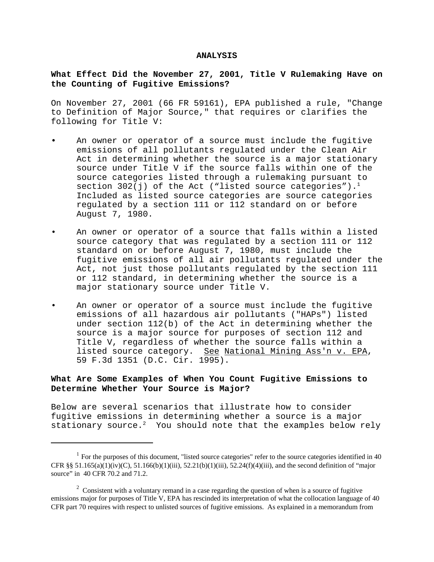#### **ANALYSIS**

## **What Effect Did the November 27, 2001, Title V Rulemaking Have on the Counting of Fugitive Emissions?**

On November 27, 2001 (66 FR 59161), EPA published a rule, "Change to Definition of Major Source," that requires or clarifies the following for Title V:

- **•** An owner or operator of a source must include the fugitive emissions of all pollutants regulated under the Clean Air Act in determining whether the source is a major stationary source under Title V if the source falls within one of the source categories listed through a rulemaking pursuant to section 302(j) of the Act ("listed source categories").<sup>1</sup> Included as listed source categories are source categories regulated by a section 111 or 112 standard on or before August 7, 1980.
- An owner or operator of a source that falls within a listed source category that was regulated by a section 111 or 112 standard on or before August 7, 1980, must include the fugitive emissions of all air pollutants regulated under the Act, not just those pollutants regulated by the section 111 or 112 standard, in determining whether the source is a major stationary source under Title V.
- An owner or operator of a source must include the fugitive emissions of all hazardous air pollutants ("HAPs") listed under section 112(b) of the Act in determining whether the source is a major source for purposes of section 112 and Title V, regardless of whether the source falls within a listed source category. See National Mining Ass'n v. EPA, 59 F.3d 1351 (D.C. Cir. 1995).

# **What Are Some Examples of When You Count Fugitive Emissions to Determine Whether Your Source is Major?**

Below are several scenarios that illustrate how to consider fugitive emissions in determining whether a source is a major stationary source.<sup>2</sup> You should note that the examples below rely

 $1$  For the purposes of this document, "listed source categories" refer to the source categories identified in 40 CFR §§ 51.165(a)(1)(iv)(C), 51.166(b)(1)(iii), 52.21(b)(1)(iii), 52.24(f)(4)(iii), and the second definition of "major" source" in 40 CFR 70.2 and 71.2.

 $2^{\circ}$  Consistent with a voluntary remand in a case regarding the question of when is a source of fugitive emissions major for purposes of Title V, EPA has rescinded its interpretation of what the collocation language of 40 CFR part 70 requires with respect to unlisted sources of fugitive emissions. As explained in a memorandum from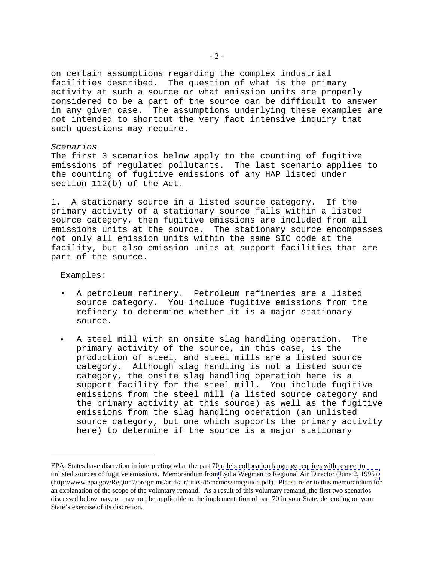on certain assumptions regarding the complex industrial facilities described. The question of what is the primary activity at such a source or what emission units are properly considered to be a part of the source can be difficult to answer in any given case. The assumptions underlying these examples are not intended to shortcut the very fact intensive inquiry that such questions may require.

### *Scenarios*

The first 3 scenarios below apply to the counting of fugitive emissions of regulated pollutants. The last scenario applies to the counting of fugitive emissions of any HAP listed under section 112(b) of the Act.

1. A stationary source in a listed source category. If the primary activity of a stationary source falls within a listed source category, then fugitive emissions are included from all emissions units at the source. The stationary source encompasses not only all emission units within the same SIC code at the facility, but also emission units at support facilities that are part of the source.

### Examples:

- A petroleum refinery. Petroleum refineries are a listed source category. You include fugitive emissions from the refinery to determine whether it is a major stationary source.
- A steel mill with an onsite slag handling operation. The primary activity of the source, in this case, is the production of steel, and steel mills are a listed source category. Although slag handling is not a listed source category, the onsite slag handling operation here is a support facility for the steel mill. You include fugitive emissions from the steel mill (a listed source category and the primary activity at this source) as well as the fugitive emissions from the slag handling operation (an unlisted source category, but one which supports the primary activity here) to determine if the source is a major stationary  $\bullet$

EPA, States have discretion in interpreting what the part 70 rule's collocation language requires with respect to unlisted sources of fugitive emissions. Memorandum from [Lydia Wegman to Regional Air Director \(June 2, 1995\)](#page-0-0)  (http://www.epa.gov/Region7/programs/artd/air/title5/t5memos/amcguide.pdf). Please refer to this memorandum for an explanation of the scope of the voluntary remand. As a result of this voluntary remand, the first two scenarios discussed below may, or may not, be applicable to the implementation of part 70 in your State, depending on your State's exercise of its discretion.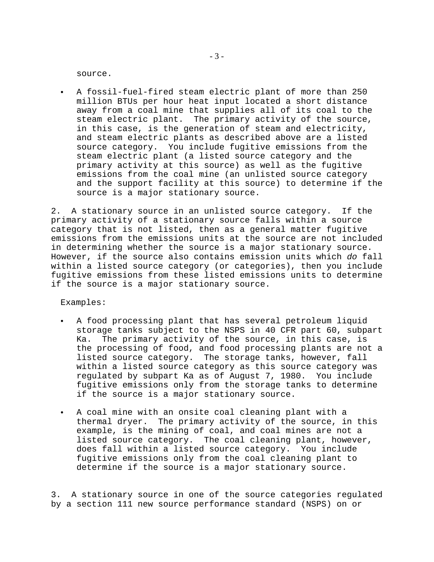source.

• A fossil-fuel-fired steam electric plant of more than 250 million BTUs per hour heat input located a short distance away from a coal mine that supplies all of its coal to the steam electric plant. The primary activity of the source, in this case, is the generation of steam and electricity, and steam electric plants as described above are a listed source category. You include fugitive emissions from the steam electric plant (a listed source category and the primary activity at this source) as well as the fugitive emissions from the coal mine (an unlisted source category and the support facility at this source) to determine if the source is a major stationary source.

2. A stationary source in an unlisted source category. If the primary activity of a stationary source falls within a source category that is not listed, then as a general matter fugitive emissions from the emissions units at the source are not included in determining whether the source is a major stationary source. However, if the source also contains emission units which *do* fall within a listed source category (or categories), then you include fugitive emissions from these listed emissions units to determine if the source is a major stationary source.

Examples:

- A food processing plant that has several petroleum liquid storage tanks subject to the NSPS in 40 CFR part 60, subpart Ka. The primary activity of the source, in this case, is the processing of food, and food processing plants are not a listed source category. The storage tanks, however, fall within a listed source category as this source category was regulated by subpart Ka as of August 7, 1980. You include fugitive emissions only from the storage tanks to determine if the source is a major stationary source.
- A coal mine with an onsite coal cleaning plant with a thermal dryer. The primary activity of the source, in this example, is the mining of coal, and coal mines are not a listed source category. The coal cleaning plant, however, does fall within a listed source category. You include fugitive emissions only from the coal cleaning plant to determine if the source is a major stationary source.

3. A stationary source in one of the source categories regulated by a section 111 new source performance standard (NSPS) on or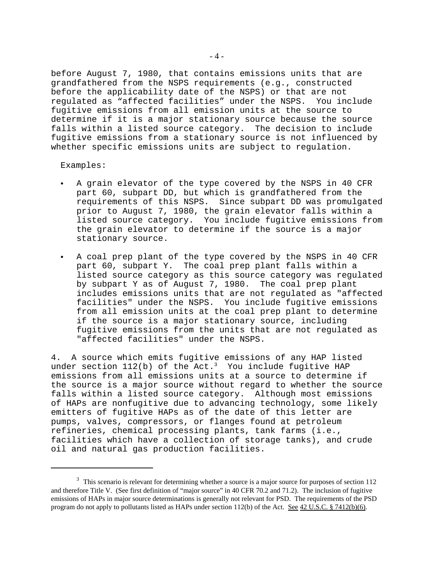before August 7, 1980, that contains emissions units that are grandfathered from the NSPS requirements (e.g., constructed before the applicability date of the NSPS) or that are not regulated as "affected facilities" under the NSPS. You include fugitive emissions from all emission units at the source to determine if it is a major stationary source because the source falls within a listed source category. The decision to include fugitive emissions from a stationary source is not influenced by whether specific emissions units are subject to regulation.

Examples:

- A grain elevator of the type covered by the NSPS in 40 CFR part 60, subpart DD, but which is grandfathered from the requirements of this NSPS. Since subpart DD was promulgated prior to August 7, 1980, the grain elevator falls within a listed source category. You include fugitive emissions from the grain elevator to determine if the source is a major stationary source.
- C A coal prep plant of the type covered by the NSPS in 40 CFR part 60, subpart Y. The coal prep plant falls within a listed source category as this source category was regulated by subpart Y as of August 7, 1980. The coal prep plant includes emissions units that are not regulated as "affected facilities" under the NSPS. You include fugitive emissions from all emission units at the coal prep plant to determine if the source is a major stationary source, including fugitive emissions from the units that are not regulated as "affected facilities" under the NSPS.

4. A source which emits fugitive emissions of any HAP listed under section  $112(b)$  of the Act.<sup>3</sup> You include fugitive HAP emissions from all emissions units at a source to determine if the source is a major source without regard to whether the source falls within a listed source category. Although most emissions of HAPs are nonfugitive due to advancing technology, some likely emitters of fugitive HAPs as of the date of this letter are pumps, valves, compressors, or flanges found at petroleum refineries, chemical processing plants, tank farms (i.e., facilities which have a collection of storage tanks), and crude oil and natural gas production facilities.

<sup>&</sup>lt;sup>3</sup> This scenario is relevant for determining whether a source is a major source for purposes of section 112 and therefore Title V. (See first definition of "major source" in 40 CFR 70.2 and 71.2). The inclusion of fugitive emissions of HAPs in major source determinations is generally not relevant for PSD. The requirements of the PSD program do not apply to pollutants listed as HAPs under section 112(b) of the Act. See 42 U.S.C. § 7412(b)(6).